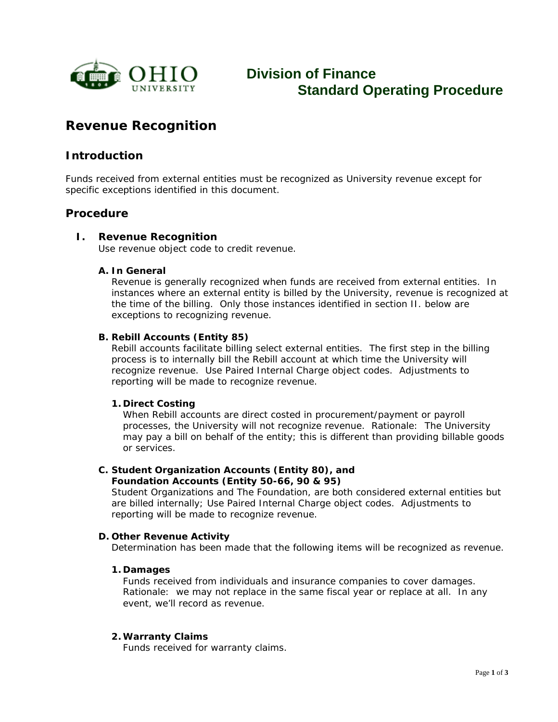

# **Division of Finance Standard Operating Procedure**

## **Revenue Recognition**

## **Introduction**

Funds received from external entities must be recognized as University revenue except for specific exceptions identified in this document.

### **Procedure**

#### **I. Revenue Recognition**

Use revenue object code to credit revenue.

#### **A. In General**

Revenue is generally recognized when funds are received from external entities. In instances where an external entity is billed by the University, revenue is recognized at the time of the billing. Only those instances identified in section II. below are exceptions to recognizing revenue.

#### **B. Rebill Accounts (Entity 85)**

Rebill accounts facilitate billing select external entities. The first step in the billing process is to internally bill the Rebill account at which time the University will recognize revenue. Use Paired Internal Charge object codes. Adjustments to reporting will be made to recognize revenue.

#### **1. Direct Costing**

When Rebill accounts are direct costed in procurement/payment or payroll processes, the University will not recognize revenue. Rationale: The University may pay a bill on behalf of the entity; this is different than providing billable goods or services.

#### **C. Student Organization Accounts (Entity 80), and Foundation Accounts (Entity 50-66, 90 & 95)**

Student Organizations and The Foundation, are both considered external entities but are billed internally; Use Paired Internal Charge object codes. Adjustments to reporting will be made to recognize revenue.

#### **D. Other Revenue Activity**

Determination has been made that the following items will be recognized as revenue.

#### **1. Damages**

Funds received from individuals and insurance companies to cover damages. Rationale: we may not replace in the same fiscal year or replace at all. In any event, we'll record as revenue.

#### **2.Warranty Claims**

Funds received for warranty claims.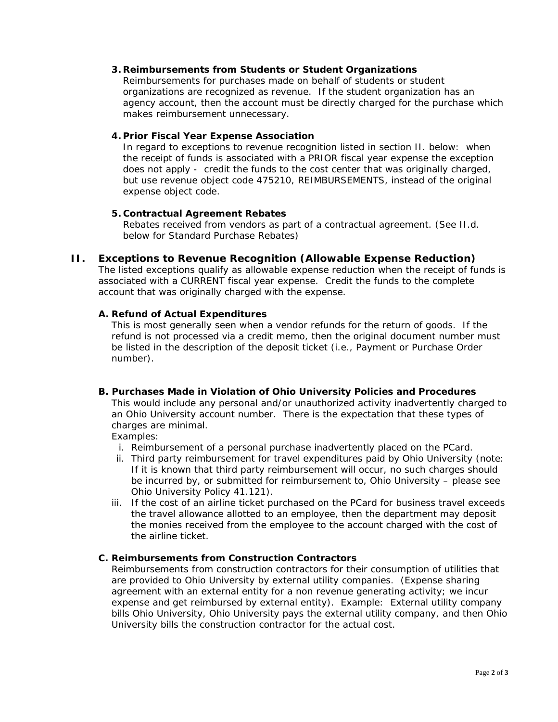#### **3. Reimbursements from Students or Student Organizations**

Reimbursements for purchases made on behalf of students or student organizations are recognized as revenue. If the student organization has an agency account, then the account must be directly charged for the purchase which makes reimbursement unnecessary.

#### **4. Prior Fiscal Year Expense Association**

In regard to exceptions to revenue recognition listed in section II. below: when the receipt of funds is associated with a PRIOR fiscal year expense the exception does not apply - credit the funds to the cost center that was originally charged, but use revenue object code 475210, REIMBURSEMENTS, instead of the original expense object code.

#### **5. Contractual Agreement Rebates**

Rebates received from vendors as part of a contractual agreement. (See II.d. below for Standard Purchase Rebates)

#### **II. Exceptions to Revenue Recognition (Allowable Expense Reduction)**

The listed exceptions qualify as allowable expense reduction when the receipt of funds is associated with a CURRENT fiscal year expense. Credit the funds to the complete account that was originally charged with the expense.

#### **A. Refund of Actual Expenditures**

This is most generally seen when a vendor refunds for the return of goods. If the refund is not processed via a credit memo, then the original document number must be listed in the description of the deposit ticket (i.e., Payment or Purchase Order number).

#### **B. Purchases Made in Violation of Ohio University Policies and Procedures** This would include any personal and/or unauthorized activity inadvertently charged to an Ohio University account number. There is the expectation that these types of

charges are minimal. Examples:

- i. Reimbursement of a personal purchase inadvertently placed on the PCard.
- ii. Third party reimbursement for travel expenditures paid by Ohio University (note: If it is known that third party reimbursement will occur, no such charges should be incurred by, or submitted for reimbursement to, Ohio University – please see Ohio University Policy 41.121).
- iii. If the cost of an airline ticket purchased on the PCard for business travel exceeds the travel allowance allotted to an employee, then the department may deposit the monies received from the employee to the account charged with the cost of the airline ticket.

#### **C. Reimbursements from Construction Contractors**

Reimbursements from construction contractors for their consumption of utilities that are provided to Ohio University by external utility companies. (Expense sharing agreement with an external entity for a non revenue generating activity; we incur expense and get reimbursed by external entity). Example: External utility company bills Ohio University, Ohio University pays the external utility company, and then Ohio University bills the construction contractor for the actual cost.